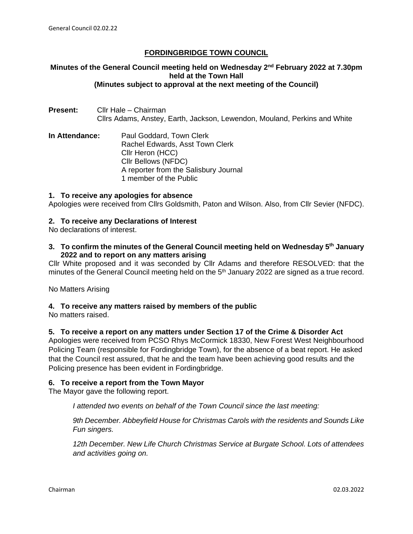## **FORDINGBRIDGE TOWN COUNCIL**

#### **Minutes of the General Council meeting held on Wednesday 2nd February 2022 at 7.30pm held at the Town Hall (Minutes subject to approval at the next meeting of the Council)**

- **Present:** Cllr Hale Chairman Cllrs Adams, Anstey, Earth, Jackson, Lewendon, Mouland, Perkins and White
- **In Attendance:** Paul Goddard, Town Clerk Rachel Edwards, Asst Town Clerk Cllr Heron (HCC) Cllr Bellows (NFDC) A reporter from the Salisbury Journal 1 member of the Public

### **1. To receive any apologies for absence**

Apologies were received from Cllrs Goldsmith, Paton and Wilson. Also, from Cllr Sevier (NFDC).

### **2. To receive any Declarations of Interest**

No declarations of interest.

**3. To confirm the minutes of the General Council meeting held on Wednesday 5th January 2022 and to report on any matters arising**

Cllr White proposed and it was seconded by Cllr Adams and therefore RESOLVED: that the minutes of the General Council meeting held on the 5<sup>th</sup> January 2022 are signed as a true record.

No Matters Arising

**4. To receive any matters raised by members of the public**

No matters raised.

### **5. To receive a report on any matters under Section 17 of the Crime & Disorder Act**

Apologies were received from PCSO Rhys McCormick 18330, New Forest West Neighbourhood Policing Team (responsible for Fordingbridge Town), for the absence of a beat report. He asked that the Council rest assured, that he and the team have been achieving good results and the Policing presence has been evident in Fordingbridge.

#### **6. To receive a report from the Town Mayor**

The Mayor gave the following report.

*I attended two events on behalf of the Town Council since the last meeting:*

*9th December. Abbeyfield House for Christmas Carols with the residents and Sounds Like Fun singers.*

*12th December. New Life Church Christmas Service at Burgate School. Lots of attendees and activities going on.*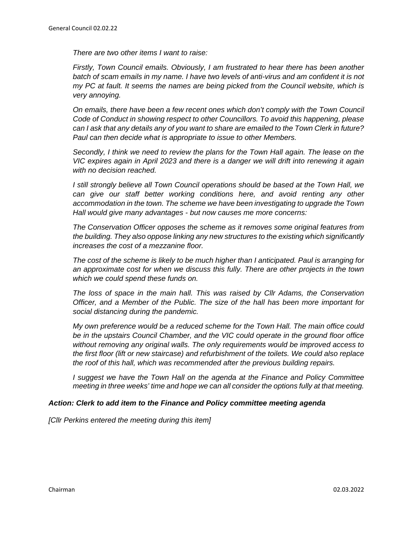*There are two other items I want to raise:*

*Firstly, Town Council emails. Obviously, I am frustrated to hear there has been another*  batch of scam emails in my name. I have two levels of anti-virus and am confident it is not *my PC at fault. It seems the names are being picked from the Council website, which is very annoying.*

*On emails, there have been a few recent ones which don't comply with the Town Council Code of Conduct in showing respect to other Councillors. To avoid this happening, please can I ask that any details any of you want to share are emailed to the Town Clerk in future? Paul can then decide what is appropriate to issue to other Members.*

*Secondly, I think we need to review the plans for the Town Hall again. The lease on the VIC expires again in April 2023 and there is a danger we will drift into renewing it again with no decision reached.*

*I still strongly believe all Town Council operations should be based at the Town Hall, we can give our staff better working conditions here, and avoid renting any other accommodation in the town. The scheme we have been investigating to upgrade the Town Hall would give many advantages - but now causes me more concerns:*

*The Conservation Officer opposes the scheme as it removes some original features from the building. They also oppose linking any new structures to the existing which significantly increases the cost of a mezzanine floor.*

*The cost of the scheme is likely to be much higher than I anticipated. Paul is arranging for an approximate cost for when we discuss this fully. There are other projects in the town which we could spend these funds on.*

*The loss of space in the main hall. This was raised by Cllr Adams, the Conservation Officer, and a Member of the Public. The size of the hall has been more important for social distancing during the pandemic.*

*My own preference would be a reduced scheme for the Town Hall. The main office could be in the upstairs Council Chamber, and the VIC could operate in the ground floor office without removing any original walls. The only requirements would be improved access to the first floor (lift or new staircase) and refurbishment of the toilets. We could also replace the roof of this hall, which was recommended after the previous building repairs.*

*I* suggest we have the Town Hall on the agenda at the Finance and Policy Committee *meeting in three weeks' time and hope we can all consider the options fully at that meeting.*

#### *Action: Clerk to add item to the Finance and Policy committee meeting agenda*

*[Cllr Perkins entered the meeting during this item]*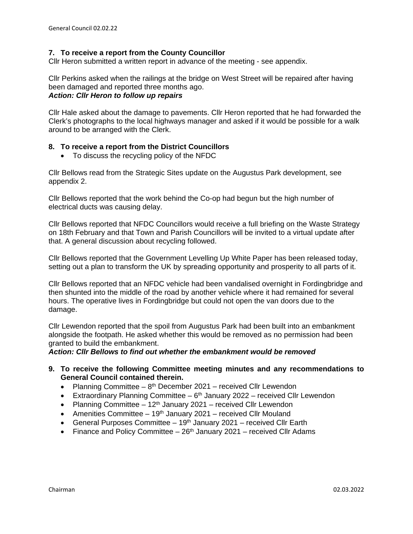### **7. To receive a report from the County Councillor**

Cllr Heron submitted a written report in advance of the meeting - see appendix.

Cllr Perkins asked when the railings at the bridge on West Street will be repaired after having been damaged and reported three months ago. *Action: Cllr Heron to follow up repairs*

Cllr Hale asked about the damage to pavements. Cllr Heron reported that he had forwarded the Clerk's photographs to the local highways manager and asked if it would be possible for a walk around to be arranged with the Clerk.

### **8. To receive a report from the District Councillors**

• To discuss the recycling policy of the NFDC

Cllr Bellows read from the Strategic Sites update on the Augustus Park development, see appendix 2.

Cllr Bellows reported that the work behind the Co-op had begun but the high number of electrical ducts was causing delay.

Cllr Bellows reported that NFDC Councillors would receive a full briefing on the Waste Strategy on 18th February and that Town and Parish Councillors will be invited to a virtual update after that. A general discussion about recycling followed.

Cllr Bellows reported that the Government Levelling Up White Paper has been released today, setting out a plan to transform the UK by spreading opportunity and prosperity to all parts of it.

Cllr Bellows reported that an NFDC vehicle had been vandalised overnight in Fordingbridge and then shunted into the middle of the road by another vehicle where it had remained for several hours. The operative lives in Fordingbridge but could not open the van doors due to the damage.

Cllr Lewendon reported that the spoil from Augustus Park had been built into an embankment alongside the footpath. He asked whether this would be removed as no permission had been granted to build the embankment.

*Action: Cllr Bellows to find out whether the embankment would be removed*

- **9. To receive the following Committee meeting minutes and any recommendations to General Council contained therein.**
	- Planning Committee  $-8<sup>th</sup>$  December 2021 received Cllr Lewendon
	- Extraordinary Planning Committee  $6<sup>th</sup>$  January 2022 received Cllr Lewendon
	- Planning Committee  $-12<sup>th</sup>$  January 2021 received Cllr Lewendon
	- Amenities Committee  $19<sup>th</sup>$  January 2021 received Cllr Mouland
	- General Purposes Committee  $-19<sup>th</sup>$  January 2021 received Cllr Earth
	- Finance and Policy Committee  $-26<sup>th</sup>$  January 2021 received Cllr Adams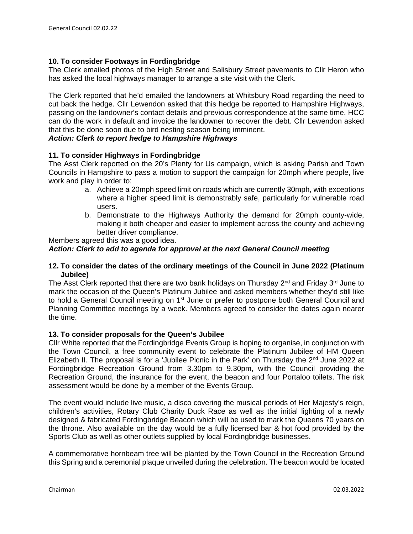### **10. To consider Footways in Fordingbridge**

The Clerk emailed photos of the High Street and Salisbury Street pavements to Cllr Heron who has asked the local highways manager to arrange a site visit with the Clerk.

The Clerk reported that he'd emailed the landowners at Whitsbury Road regarding the need to cut back the hedge. Cllr Lewendon asked that this hedge be reported to Hampshire Highways, passing on the landowner's contact details and previous correspondence at the same time. HCC can do the work in default and invoice the landowner to recover the debt. Cllr Lewendon asked that this be done soon due to bird nesting season being imminent.

### *Action: Clerk to report hedge to Hampshire Highways*

### **11. To consider Highways in Fordingbridge**

The Asst Clerk reported on the 20's Plenty for Us campaign, which is asking Parish and Town Councils in Hampshire to pass a motion to support the campaign for 20mph where people, live work and play in order to:

- a. Achieve a 20mph speed limit on roads which are currently 30mph, with exceptions where a higher speed limit is demonstrably safe, particularly for vulnerable road users.
- b. Demonstrate to the Highways Authority the demand for 20mph county-wide, making it both cheaper and easier to implement across the county and achieving better driver compliance.

Members agreed this was a good idea.

### *Action: Clerk to add to agenda for approval at the next General Council meeting*

#### **12. To consider the dates of the ordinary meetings of the Council in June 2022 (Platinum Jubilee)**

The Asst Clerk reported that there are two bank holidays on Thursday 2<sup>nd</sup> and Friday 3<sup>rd</sup> June to mark the occasion of the Queen's Platinum Jubilee and asked members whether they'd still like to hold a General Council meeting on 1<sup>st</sup> June or prefer to postpone both General Council and Planning Committee meetings by a week. Members agreed to consider the dates again nearer the time.

#### **13. To consider proposals for the Queen's Jubilee**

Cllr White reported that the Fordingbridge Events Group is hoping to organise, in conjunction with the Town Council, a free community event to celebrate the Platinum Jubilee of HM Queen Elizabeth II. The proposal is for a 'Jubilee Picnic in the Park' on Thursday the 2<sup>nd</sup> June 2022 at Fordingbridge Recreation Ground from 3.30pm to 9.30pm, with the Council providing the Recreation Ground, the insurance for the event, the beacon and four Portaloo toilets. The risk assessment would be done by a member of the Events Group.

The event would include live music, a disco covering the musical periods of Her Majesty's reign, children's activities, Rotary Club Charity Duck Race as well as the initial lighting of a newly designed & fabricated Fordingbridge Beacon which will be used to mark the Queens 70 years on the throne. Also available on the day would be a fully licensed bar & hot food provided by the Sports Club as well as other outlets supplied by local Fordingbridge businesses.

A commemorative hornbeam tree will be planted by the Town Council in the Recreation Ground this Spring and a ceremonial plaque unveiled during the celebration. The beacon would be located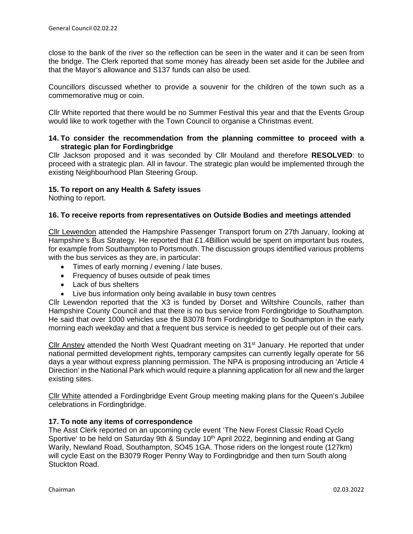close to the bank of the river so the reflection can be seen in the water and it can be seen from the bridge. The Clerk reported that some money has already been set aside for the Jubilee and that the Mayor's allowance and S137 funds can also be used.

Councillors discussed whether to provide a souvenir for the children of the town such as a commemorative mug or coin.

Cllr White reported that there would be no Summer Festival this year and that the Events Group would like to work together with the Town Council to organise a Christmas event.

### **14. To consider the recommendation from the planning committee to proceed with a strategic plan for Fordingbridge**

Cllr Jackson proposed and it was seconded by Cllr Mouland and therefore **RESOLVED**: to proceed with a strategic plan. All in favour. The strategic plan would be implemented through the existing Neighbourhood Plan Steering Group.

## **15. To report on any Health & Safety issues**

Nothing to report.

### **16. To receive reports from representatives on Outside Bodies and meetings attended**

Cllr Lewendon attended the Hampshire Passenger Transport forum on 27th January, looking at Hampshire's Bus Strategy. He reported that £1.4Billion would be spent on important bus routes, for example from Southampton to Portsmouth. The discussion groups identified various problems with the bus services as they are, in particular:

- Times of early morning / evening / late buses.
- Frequency of buses outside of peak times
- Lack of bus shelters
- Live bus information only being available in busy town centres

Cllr Lewendon reported that the X3 is funded by Dorset and Wiltshire Councils, rather than Hampshire County Council and that there is no bus service from Fordingbridge to Southampton. He said that over 1000 vehicles use the B3078 from Fordingbridge to Southampton in the early morning each weekday and that a frequent bus service is needed to get people out of their cars.

Cllr Anstey attended the North West Quadrant meeting on 31<sup>st</sup> January. He reported that under national permitted development rights, temporary campsites can currently legally operate for 56 days a year without express planning permission. The NPA is proposing introducing an 'Article 4 Direction' in the National Park which would require a planning application for all new and the larger existing sites.

Cllr White attended a Fordingbridge Event Group meeting making plans for the Queen's Jubilee celebrations in Fordingbridge.

### **17. To note any items of correspondence**

The Asst Clerk reported on an upcoming cycle event 'The New Forest Classic Road Cyclo Sportive' to be held on Saturday 9th & Sunday 10<sup>th</sup> April 2022, beginning and ending at Gang Warily, Newland Road, Southampton, SO45 1GA. Those riders on the longest route (127km) will cycle East on the B3079 Roger Penny Way to Fordingbridge and then turn South along Stuckton Road.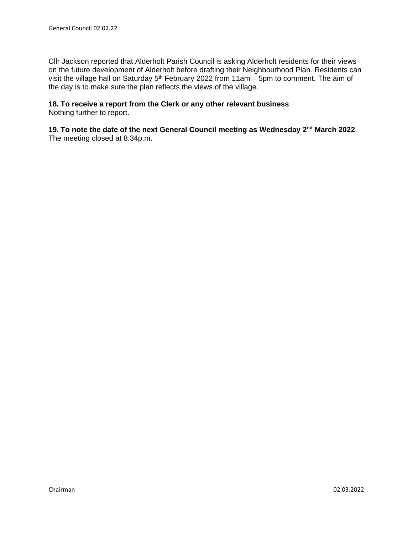Cllr Jackson reported that Alderholt Parish Council is asking Alderholt residents for their views on the future development of Alderholt before drafting their Neighbourhood Plan. Residents can visit the village hall on Saturday  $5<sup>th</sup>$  February 2022 from 11am – 5pm to comment. The aim of the day is to make sure the plan reflects the views of the village.

# **18. To receive a report from the Clerk or any other relevant business**

Nothing further to report.

**19. To note the date of the next General Council meeting as Wednesday 2nd March 2022**  The meeting closed at 8:34p.m.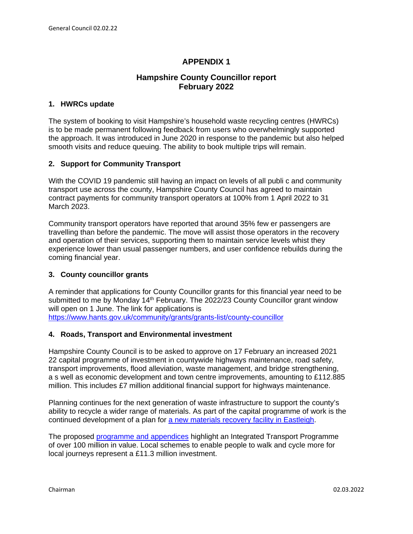## **APPENDIX 1**

## **Hampshire County Councillor report February 2022**

### **1. HWRCs update**

The system of booking to visit Hampshire's household waste recycling centres (HWRCs) is to be made permanent following feedback from users who overwhelmingly supported the approach. It was introduced in June 2020 in response to the pandemic but also helped smooth visits and reduce queuing. The ability to book multiple trips will remain.

### **2. Support for Community Transport**

With the COVID 19 pandemic still having an impact on levels of all publi c and community transport use across the county, Hampshire County Council has agreed to maintain contract payments for community transport operators at 100% from 1 April 2022 to 31 March 2023.

Community transport operators have reported that around 35% few er passengers are travelling than before the pandemic. The move will assist those operators in the recovery and operation of their services, supporting them to maintain service levels whist they experience lower than usual passenger numbers, and user confidence rebuilds during the coming financial year.

### **3. County councillor grants**

A reminder that applications for County Councillor grants for this financial year need to be submitted to me by Monday 14<sup>th</sup> February. The 2022/23 County Councillor grant window will open on 1 June. The link for applications is <https://www.hants.gov.uk/community/grants/grants-list/county-councillor>

#### **4. Roads, Transport and Environmental investment**

Hampshire County Council is to be asked to approve on 17 February an increased 2021 22 capital programme of investment in countywide highways maintenance, road safety, transport improvements, flood alleviation, waste management, and bridge strengthening, a s well as economic development and town centre improvements, amounting to £112.885 million. This includes £7 million additional financial support for highways maintenance.

Planning continues for the next generation of waste infrastructure to support the county's ability to recycle a wider range of materials. As part of the capital programme of work is the continued development of a plan for [a new materials recovery facility in Eastleigh.](https://www.hants.gov.uk/News/20210924recyclingplans)

The proposed [programme and appendices](https://democracy.hants.gov.uk/documents/s90048/Report.pdf) highlight an Integrated Transport Programme of over 100 million in value. Local schemes to enable people to walk and cycle more for local journeys represent a £11.3 million investment.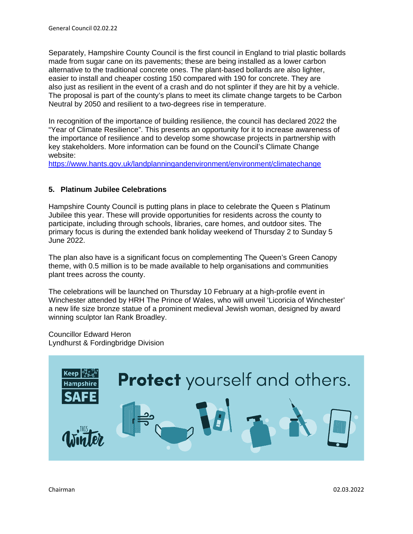Separately, Hampshire County Council is the first council in England to trial plastic bollards made from sugar cane on its pavements; these are being installed as a lower carbon alternative to the traditional concrete ones. The plant-based bollards are also lighter, easier to install and cheaper costing 150 compared with 190 for concrete. They are also just as resilient in the event of a crash and do not splinter if they are hit by a vehicle. The proposal is part of the county's plans to meet its climate change targets to be Carbon Neutral by 2050 and resilient to a two-degrees rise in temperature.

In recognition of the importance of building resilience, the council has declared 2022 the "Year of Climate Resilience". This presents an opportunity for it to increase awareness of the importance of resilience and to develop some showcase projects in partnership with key stakeholders. More information can be found on the Council's Climate Change website:

<https://www.hants.gov.uk/landplanningandenvironment/environment/climatechange>

### **5. Platinum Jubilee Celebrations**

Hampshire County Council is putting plans in place to celebrate the Queen s Platinum Jubilee this year. These will provide opportunities for residents across the county to participate, including through schools, libraries, care homes, and outdoor sites. The primary focus is during the extended bank holiday weekend of Thursday 2 to Sunday 5 June 2022.

The plan also have is a significant focus on complementing The Queen's Green Canopy theme, with 0.5 million is to be made available to help organisations and communities plant trees across the county.

The celebrations will be launched on Thursday 10 February at a high-profile event in Winchester attended by HRH The Prince of Wales, who will unveil 'Licoricia of Winchester' a new life size bronze statue of a prominent medieval Jewish woman, designed by award winning sculptor Ian Rank Broadley.

Councillor Edward Heron Lyndhurst & Fordingbridge Division